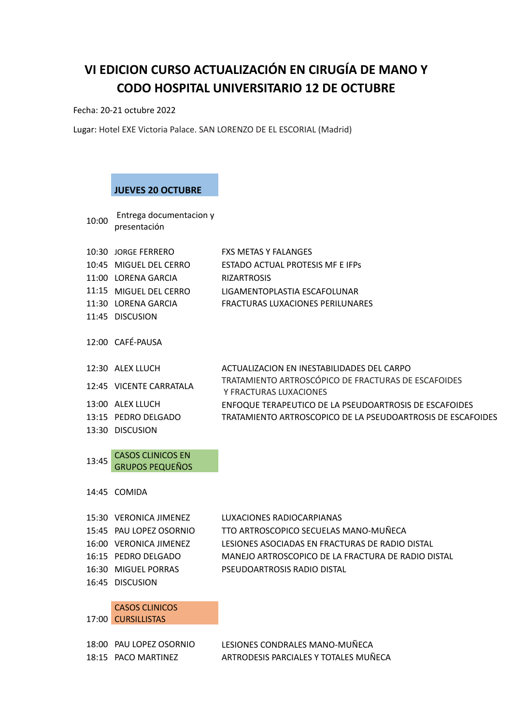# **VI EDICION CURSO ACTUALIZACIÓN EN CIRUGÍA DE MANO Y CODO HOSPITAL UNIVERSITARIO 12 DE OCTUBRE**

Fecha: 20-21 octubre 2022

Lugar: Hotel EXE Victoria Palace. SAN LORENZO DE EL ESCORIAL (Madrid)

### **JUEVES 20 OCTUBRE**

10:00 Entrega documentacion y presentación

| 10:30 JORGE FERRERO     | <b>FXS METAS Y FALANGES</b>                                                   |
|-------------------------|-------------------------------------------------------------------------------|
| 10:45 MIGUFL DFL CFRRO  | <b>FSTADO ACTUAL PROTESIS ME F IFPS</b>                                       |
| 11:00 LORENA GARCIA     | <b>RIZARTROSIS</b>                                                            |
| 11:15 MIGUEL DEL CERRO  | LIGAMENTOPLASTIA ESCAFOLUNAR                                                  |
| 11:30 LORENA GARCIA     | FRACTURAS LUXACIONES PERILUNARES                                              |
| 11:45 DISCUSION         |                                                                               |
| 12:00 CAFF-PAUSA        |                                                                               |
| 12:30 ALEX LLUCH        | ACTUALIZACION EN INESTABILIDADES DEL CARPO                                    |
| 12:45 VICENTE CARRATALA | TRATAMIENTO ARTROSCÓPICO DE FRACTURAS DE ESCAFOIDES<br>Y FRACTURAS LUXACIONES |
| 13:00 ALEX LLUCH        | ENFOQUE TERAPEUTICO DE LA PSEUDOARTROSIS DE ESCAFOIDES                        |
|                         |                                                                               |

- 13:15 PEDRO DELGADO TRATAMIENTO ARTROSCOPICO DE LA PSEUDOARTROSIS DE ESCAFOIDES
- 13:30 DISCUSION

13:45 CASOS CLINICOS EN GRUPOS PEQUEÑOS

14:45 COMIDA

| 15:30 VERONICA JIMENEZ  | LUXACIONES RADIOCARPIANAS                          |
|-------------------------|----------------------------------------------------|
| 15:45 PAU LOPEZ OSORNIO | TTO ARTROSCOPICO SECUELAS MANO-MUÑECA              |
| 16:00 VERONICA JIMENEZ  | LESIONES ASOCIADAS EN FRACTURAS DE RADIO DISTAL    |
| 16:15 PEDRO DELGADO     | MANEJO ARTROSCOPICO DE LA FRACTURA DE RADIO DISTAL |
| 16:30 MIGUEL PORRAS     | PSEUDOARTROSIS RADIO DISTAL                        |
| 16:45 DISCUSION         |                                                    |

## CASOS CLINICOS

17:00 CURSILLISTAS

18:00 PAU LOPEZ OSORNIO LESIONES CONDRALES MANO-MUÑECA 18:15 PACO MARTINEZ ARTRODESIS PARCIALES Y TOTALES MUÑECA